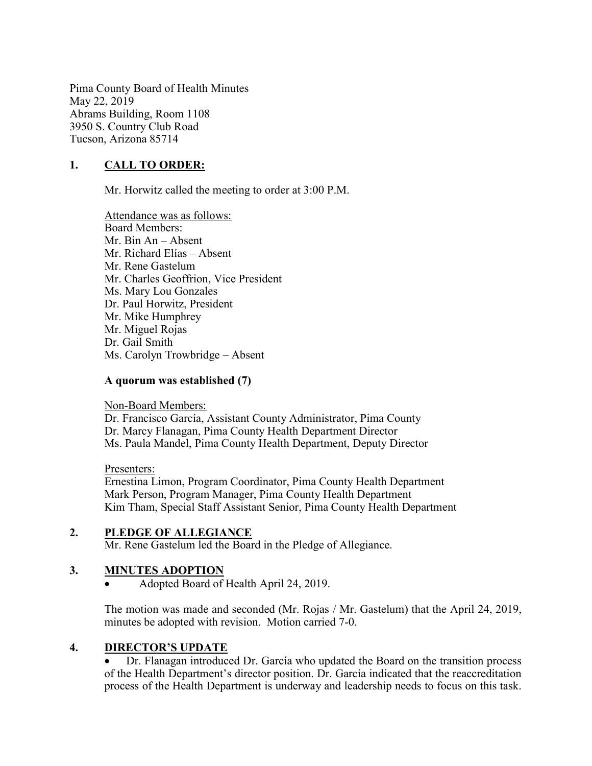Pima County Board of Health Minutes May 22, 2019 Abrams Building, Room 1108 3950 S. Country Club Road Tucson, Arizona 85714

# 1. CALL TO ORDER:

Mr. Horwitz called the meeting to order at 3:00 P.M.

Attendance was as follows: Board Members: Mr. Bin An – Absent Mr. Richard Elías – Absent Mr. Rene Gastelum Mr. Charles Geoffrion, Vice President Ms. Mary Lou Gonzales Dr. Paul Horwitz, President Mr. Mike Humphrey Mr. Miguel Rojas Dr. Gail Smith Ms. Carolyn Trowbridge – Absent

#### A quorum was established (7)

Non-Board Members:

Dr. Francisco García, Assistant County Administrator, Pima County Dr. Marcy Flanagan, Pima County Health Department Director Ms. Paula Mandel, Pima County Health Department, Deputy Director

#### Presenters:

Ernestina Limon, Program Coordinator, Pima County Health Department Mark Person, Program Manager, Pima County Health Department Kim Tham, Special Staff Assistant Senior, Pima County Health Department

## 2. PLEDGE OF ALLEGIANCE

Mr. Rene Gastelum led the Board in the Pledge of Allegiance.

## 3. MINUTES ADOPTION

Adopted Board of Health April 24, 2019.

The motion was made and seconded (Mr. Rojas / Mr. Gastelum) that the April 24, 2019, minutes be adopted with revision. Motion carried 7-0.

#### 4. DIRECTOR'S UPDATE

 Dr. Flanagan introduced Dr. García who updated the Board on the transition process of the Health Department's director position. Dr. García indicated that the reaccreditation process of the Health Department is underway and leadership needs to focus on this task.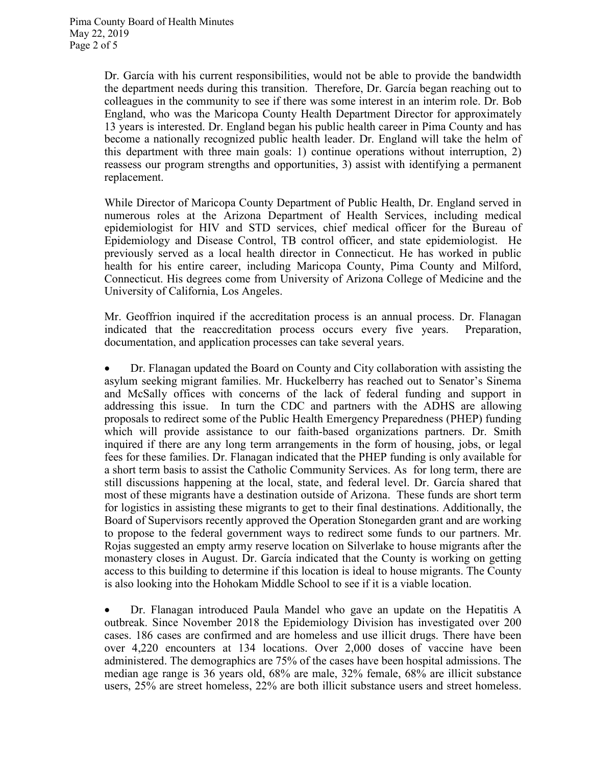Dr. García with his current responsibilities, would not be able to provide the bandwidth the department needs during this transition. Therefore, Dr. García began reaching out to colleagues in the community to see if there was some interest in an interim role. Dr. Bob England, who was the Maricopa County Health Department Director for approximately 13 years is interested. Dr. England began his public health career in Pima County and has become a nationally recognized public health leader. Dr. England will take the helm of this department with three main goals: 1) continue operations without interruption, 2) reassess our program strengths and opportunities, 3) assist with identifying a permanent replacement.

While Director of Maricopa County Department of Public Health, Dr. England served in numerous roles at the Arizona Department of Health Services, including medical epidemiologist for HIV and STD services, chief medical officer for the Bureau of Epidemiology and Disease Control, TB control officer, and state epidemiologist. He previously served as a local health director in Connecticut. He has worked in public health for his entire career, including Maricopa County, Pima County and Milford, Connecticut. His degrees come from University of Arizona College of Medicine and the University of California, Los Angeles.

Mr. Geoffrion inquired if the accreditation process is an annual process. Dr. Flanagan indicated that the reaccreditation process occurs every five years. Preparation, documentation, and application processes can take several years.

 Dr. Flanagan updated the Board on County and City collaboration with assisting the asylum seeking migrant families. Mr. Huckelberry has reached out to Senator's Sinema and McSally offices with concerns of the lack of federal funding and support in addressing this issue. In turn the CDC and partners with the ADHS are allowing proposals to redirect some of the Public Health Emergency Preparedness (PHEP) funding which will provide assistance to our faith-based organizations partners. Dr. Smith inquired if there are any long term arrangements in the form of housing, jobs, or legal fees for these families. Dr. Flanagan indicated that the PHEP funding is only available for a short term basis to assist the Catholic Community Services. As for long term, there are still discussions happening at the local, state, and federal level. Dr. García shared that most of these migrants have a destination outside of Arizona. These funds are short term for logistics in assisting these migrants to get to their final destinations. Additionally, the Board of Supervisors recently approved the Operation Stonegarden grant and are working to propose to the federal government ways to redirect some funds to our partners. Mr. Rojas suggested an empty army reserve location on Silverlake to house migrants after the monastery closes in August. Dr. García indicated that the County is working on getting access to this building to determine if this location is ideal to house migrants. The County is also looking into the Hohokam Middle School to see if it is a viable location.

 Dr. Flanagan introduced Paula Mandel who gave an update on the Hepatitis A outbreak. Since November 2018 the Epidemiology Division has investigated over 200 cases. 186 cases are confirmed and are homeless and use illicit drugs. There have been over 4,220 encounters at 134 locations. Over 2,000 doses of vaccine have been administered. The demographics are 75% of the cases have been hospital admissions. The median age range is 36 years old, 68% are male, 32% female, 68% are illicit substance users, 25% are street homeless, 22% are both illicit substance users and street homeless.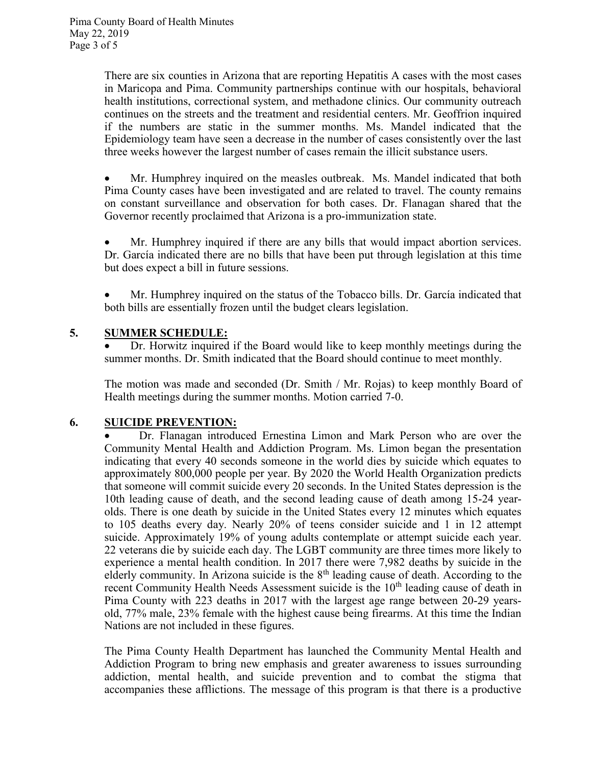There are six counties in Arizona that are reporting Hepatitis A cases with the most cases in Maricopa and Pima. Community partnerships continue with our hospitals, behavioral health institutions, correctional system, and methadone clinics. Our community outreach continues on the streets and the treatment and residential centers. Mr. Geoffrion inquired if the numbers are static in the summer months. Ms. Mandel indicated that the Epidemiology team have seen a decrease in the number of cases consistently over the last three weeks however the largest number of cases remain the illicit substance users.

 Mr. Humphrey inquired on the measles outbreak. Ms. Mandel indicated that both Pima County cases have been investigated and are related to travel. The county remains on constant surveillance and observation for both cases. Dr. Flanagan shared that the Governor recently proclaimed that Arizona is a pro-immunization state.

 Mr. Humphrey inquired if there are any bills that would impact abortion services. Dr. García indicated there are no bills that have been put through legislation at this time but does expect a bill in future sessions.

 Mr. Humphrey inquired on the status of the Tobacco bills. Dr. García indicated that both bills are essentially frozen until the budget clears legislation.

# 5. SUMMER SCHEDULE:

 Dr. Horwitz inquired if the Board would like to keep monthly meetings during the summer months. Dr. Smith indicated that the Board should continue to meet monthly.

The motion was made and seconded (Dr. Smith / Mr. Rojas) to keep monthly Board of Health meetings during the summer months. Motion carried 7-0.

# 6. SUICIDE PREVENTION:

 Dr. Flanagan introduced Ernestina Limon and Mark Person who are over the Community Mental Health and Addiction Program. Ms. Limon began the presentation indicating that every 40 seconds someone in the world dies by suicide which equates to approximately 800,000 people per year. By 2020 the World Health Organization predicts that someone will commit suicide every 20 seconds. In the United States depression is the 10th leading cause of death, and the second leading cause of death among 15-24 yearolds. There is one death by suicide in the United States every 12 minutes which equates to 105 deaths every day. Nearly 20% of teens consider suicide and 1 in 12 attempt suicide. Approximately 19% of young adults contemplate or attempt suicide each year. 22 veterans die by suicide each day. The LGBT community are three times more likely to experience a mental health condition. In 2017 there were 7,982 deaths by suicide in the elderly community. In Arizona suicide is the  $8<sup>th</sup>$  leading cause of death. According to the recent Community Health Needs Assessment suicide is the 10<sup>th</sup> leading cause of death in Pima County with 223 deaths in 2017 with the largest age range between 20-29 yearsold, 77% male, 23% female with the highest cause being firearms. At this time the Indian Nations are not included in these figures.

The Pima County Health Department has launched the Community Mental Health and Addiction Program to bring new emphasis and greater awareness to issues surrounding addiction, mental health, and suicide prevention and to combat the stigma that accompanies these afflictions. The message of this program is that there is a productive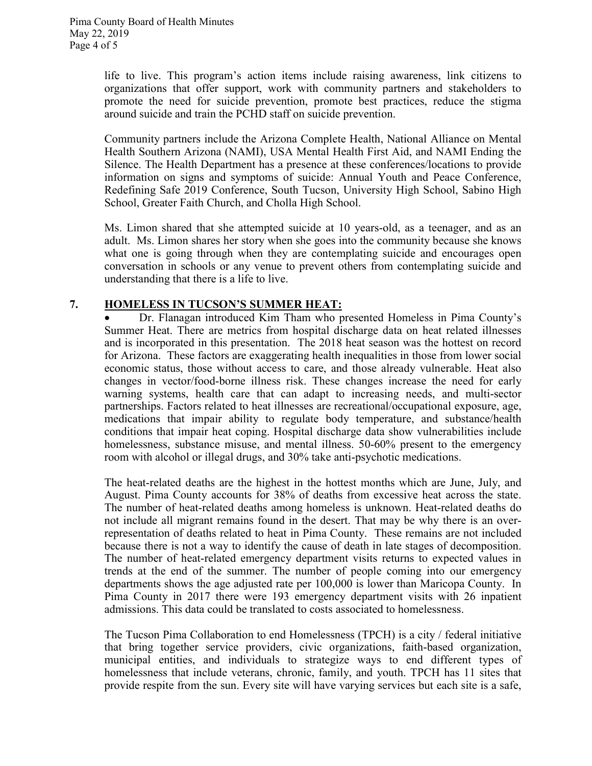life to live. This program's action items include raising awareness, link citizens to organizations that offer support, work with community partners and stakeholders to promote the need for suicide prevention, promote best practices, reduce the stigma around suicide and train the PCHD staff on suicide prevention.

Community partners include the Arizona Complete Health, National Alliance on Mental Health Southern Arizona (NAMI), USA Mental Health First Aid, and NAMI Ending the Silence. The Health Department has a presence at these conferences/locations to provide information on signs and symptoms of suicide: Annual Youth and Peace Conference, Redefining Safe 2019 Conference, South Tucson, University High School, Sabino High School, Greater Faith Church, and Cholla High School.

Ms. Limon shared that she attempted suicide at 10 years-old, as a teenager, and as an adult. Ms. Limon shares her story when she goes into the community because she knows what one is going through when they are contemplating suicide and encourages open conversation in schools or any venue to prevent others from contemplating suicide and understanding that there is a life to live.

# 7. HOMELESS IN TUCSON'S SUMMER HEAT:

 Dr. Flanagan introduced Kim Tham who presented Homeless in Pima County's Summer Heat. There are metrics from hospital discharge data on heat related illnesses and is incorporated in this presentation. The 2018 heat season was the hottest on record for Arizona. These factors are exaggerating health inequalities in those from lower social economic status, those without access to care, and those already vulnerable. Heat also changes in vector/food-borne illness risk. These changes increase the need for early warning systems, health care that can adapt to increasing needs, and multi-sector partnerships. Factors related to heat illnesses are recreational/occupational exposure, age, medications that impair ability to regulate body temperature, and substance/health conditions that impair heat coping. Hospital discharge data show vulnerabilities include homelessness, substance misuse, and mental illness. 50-60% present to the emergency room with alcohol or illegal drugs, and 30% take anti-psychotic medications.

The heat-related deaths are the highest in the hottest months which are June, July, and August. Pima County accounts for 38% of deaths from excessive heat across the state. The number of heat-related deaths among homeless is unknown. Heat-related deaths do not include all migrant remains found in the desert. That may be why there is an overrepresentation of deaths related to heat in Pima County. These remains are not included because there is not a way to identify the cause of death in late stages of decomposition. The number of heat-related emergency department visits returns to expected values in trends at the end of the summer. The number of people coming into our emergency departments shows the age adjusted rate per 100,000 is lower than Maricopa County. In Pima County in 2017 there were 193 emergency department visits with 26 inpatient admissions. This data could be translated to costs associated to homelessness.

The Tucson Pima Collaboration to end Homelessness (TPCH) is a city / federal initiative that bring together service providers, civic organizations, faith-based organization, municipal entities, and individuals to strategize ways to end different types of homelessness that include veterans, chronic, family, and youth. TPCH has 11 sites that provide respite from the sun. Every site will have varying services but each site is a safe,